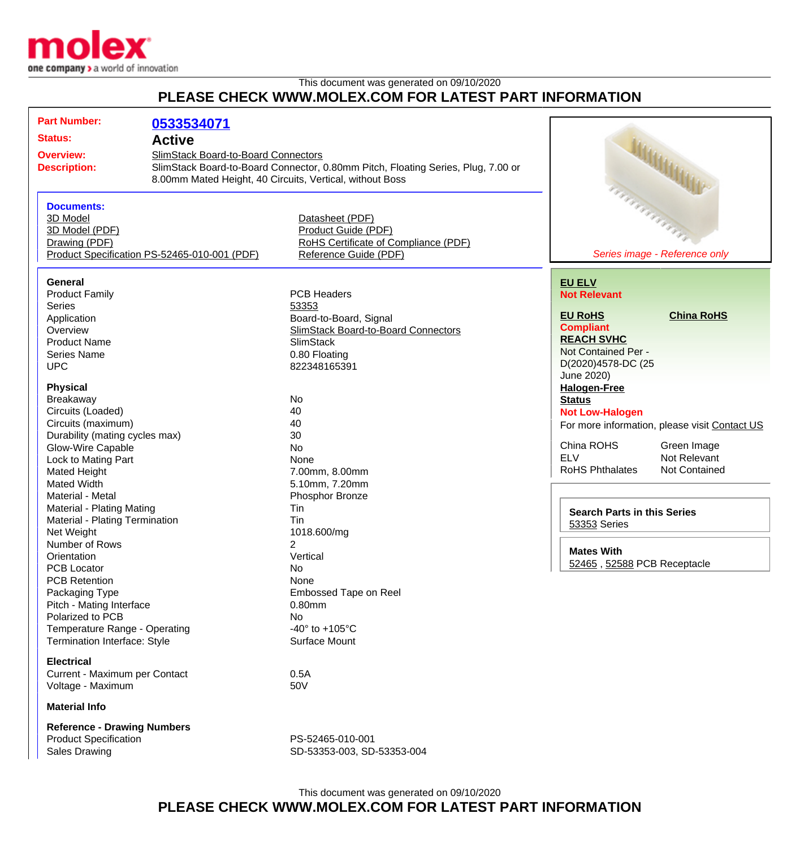

## This document was generated on 09/10/2020 **PLEASE CHECK WWW.MOLEX.COM FOR LATEST PART INFORMATION**

| <b>Part Number:</b>                          | 0533534071                          |                                                                                  |                                    |                                               |
|----------------------------------------------|-------------------------------------|----------------------------------------------------------------------------------|------------------------------------|-----------------------------------------------|
|                                              |                                     |                                                                                  |                                    |                                               |
| <b>Status:</b><br><b>Active</b>              |                                     |                                                                                  |                                    |                                               |
| <b>Overview:</b>                             | SlimStack Board-to-Board Connectors |                                                                                  |                                    |                                               |
| <b>Description:</b>                          |                                     | SlimStack Board-to-Board Connector, 0.80mm Pitch, Floating Series, Plug, 7.00 or |                                    |                                               |
|                                              |                                     | 8.00mm Mated Height, 40 Circuits, Vertical, without Boss                         |                                    |                                               |
|                                              |                                     |                                                                                  |                                    | <b>UNITED</b><br>Arthurson Carrier            |
| <b>Documents:</b>                            |                                     |                                                                                  |                                    |                                               |
| 3D Model                                     |                                     | Datasheet (PDF)                                                                  |                                    |                                               |
| 3D Model (PDF)                               |                                     | Product Guide (PDF)                                                              |                                    |                                               |
| Drawing (PDF)                                |                                     | RoHS Certificate of Compliance (PDF)                                             |                                    |                                               |
| Product Specification PS-52465-010-001 (PDF) |                                     | Reference Guide (PDF)                                                            | Series image - Reference only      |                                               |
|                                              |                                     |                                                                                  |                                    |                                               |
| General                                      |                                     |                                                                                  | <b>EU ELV</b>                      |                                               |
| <b>Product Family</b>                        |                                     | <b>PCB Headers</b>                                                               | <b>Not Relevant</b>                |                                               |
| <b>Series</b>                                |                                     | 53353                                                                            |                                    |                                               |
|                                              |                                     |                                                                                  | <b>EU RoHS</b>                     | <b>China RoHS</b>                             |
| Application                                  |                                     | Board-to-Board, Signal                                                           | <b>Compliant</b>                   |                                               |
| Overview                                     |                                     | SlimStack Board-to-Board Connectors                                              | <b>REACH SVHC</b>                  |                                               |
| <b>Product Name</b>                          |                                     | <b>SlimStack</b>                                                                 | Not Contained Per -                |                                               |
| <b>Series Name</b>                           |                                     | 0.80 Floating                                                                    | D(2020)4578-DC (25                 |                                               |
| <b>UPC</b>                                   |                                     | 822348165391                                                                     | June 2020)                         |                                               |
| <b>Physical</b>                              |                                     |                                                                                  | <b>Halogen-Free</b>                |                                               |
| Breakaway                                    |                                     | No                                                                               | <b>Status</b>                      |                                               |
| Circuits (Loaded)                            |                                     | 40                                                                               |                                    |                                               |
| Circuits (maximum)                           |                                     | 40                                                                               | <b>Not Low-Halogen</b>             |                                               |
|                                              |                                     | 30                                                                               |                                    | For more information, please visit Contact US |
| Durability (mating cycles max)               |                                     | <b>No</b>                                                                        | China ROHS                         | Green Image                                   |
| Glow-Wire Capable                            |                                     | None                                                                             | <b>ELV</b>                         | Not Relevant                                  |
| Lock to Mating Part                          |                                     |                                                                                  | <b>RoHS Phthalates</b>             | Not Contained                                 |
| <b>Mated Height</b>                          |                                     | 7.00mm, 8.00mm                                                                   |                                    |                                               |
| <b>Mated Width</b>                           |                                     | 5.10mm, 7.20mm                                                                   |                                    |                                               |
| Material - Metal                             |                                     | Phosphor Bronze                                                                  |                                    |                                               |
| Material - Plating Mating                    |                                     | Tin                                                                              | <b>Search Parts in this Series</b> |                                               |
| Material - Plating Termination               |                                     | Tin                                                                              | 53353 Series                       |                                               |
| Net Weight                                   |                                     | 1018.600/mg                                                                      |                                    |                                               |
| Number of Rows                               |                                     | $\overline{2}$                                                                   | <b>Mates With</b>                  |                                               |
| Orientation                                  |                                     | Vertical                                                                         | 52465, 52588 PCB Receptacle        |                                               |
| PCB Locator                                  |                                     | No                                                                               |                                    |                                               |
| <b>PCB Retention</b>                         |                                     | None                                                                             |                                    |                                               |
| Packaging Type                               |                                     | Embossed Tape on Reel                                                            |                                    |                                               |
| Pitch - Mating Interface                     |                                     | 0.80mm                                                                           |                                    |                                               |
| Polarized to PCB                             |                                     | <b>No</b>                                                                        |                                    |                                               |
| Temperature Range - Operating                |                                     | -40 $\degree$ to +105 $\degree$ C                                                |                                    |                                               |
| Termination Interface: Style                 |                                     | Surface Mount                                                                    |                                    |                                               |
| <b>Electrical</b>                            |                                     |                                                                                  |                                    |                                               |
| Current - Maximum per Contact                |                                     | 0.5A                                                                             |                                    |                                               |
| Voltage - Maximum                            |                                     | 50V                                                                              |                                    |                                               |
| <b>Material Info</b>                         |                                     |                                                                                  |                                    |                                               |
|                                              |                                     |                                                                                  |                                    |                                               |
| <b>Reference - Drawing Numbers</b>           |                                     |                                                                                  |                                    |                                               |
| <b>Product Specification</b>                 |                                     | PS-52465-010-001                                                                 |                                    |                                               |
| <b>Sales Drawing</b>                         |                                     | SD-53353-003, SD-53353-004                                                       |                                    |                                               |